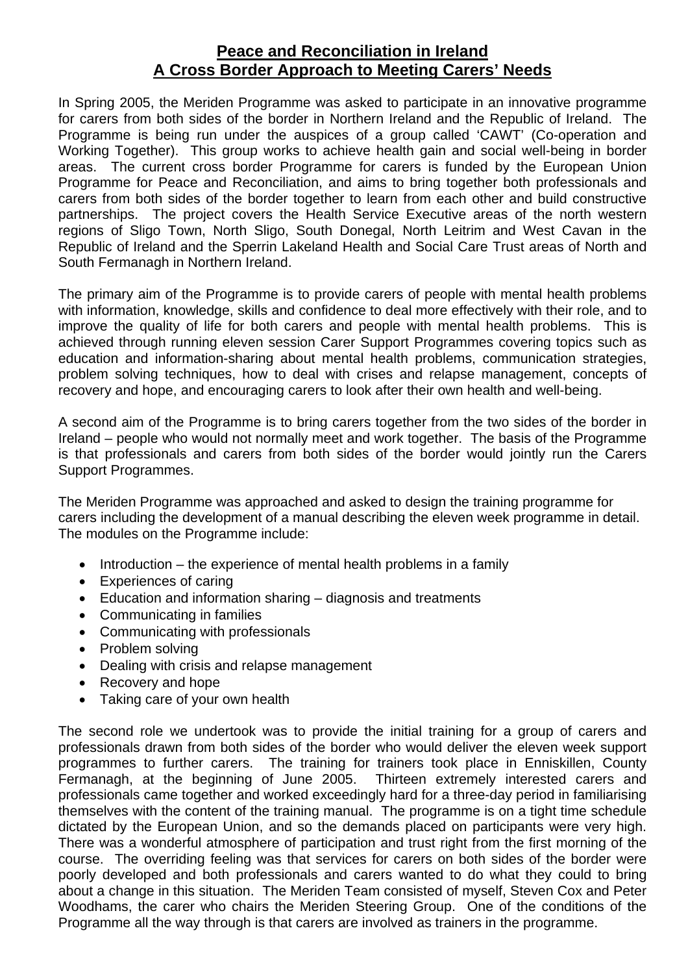## **Peace and Reconciliation in Ireland A Cross Border Approach to Meeting Carers' Needs**

In Spring 2005, the Meriden Programme was asked to participate in an innovative programme for carers from both sides of the border in Northern Ireland and the Republic of Ireland. The Programme is being run under the auspices of a group called 'CAWT' (Co-operation and Working Together). This group works to achieve health gain and social well-being in border areas. The current cross border Programme for carers is funded by the European Union Programme for Peace and Reconciliation, and aims to bring together both professionals and carers from both sides of the border together to learn from each other and build constructive partnerships. The project covers the Health Service Executive areas of the north western regions of Sligo Town, North Sligo, South Donegal, North Leitrim and West Cavan in the Republic of Ireland and the Sperrin Lakeland Health and Social Care Trust areas of North and South Fermanagh in Northern Ireland.

The primary aim of the Programme is to provide carers of people with mental health problems with information, knowledge, skills and confidence to deal more effectively with their role, and to improve the quality of life for both carers and people with mental health problems. This is achieved through running eleven session Carer Support Programmes covering topics such as education and information-sharing about mental health problems, communication strategies, problem solving techniques, how to deal with crises and relapse management, concepts of recovery and hope, and encouraging carers to look after their own health and well-being.

A second aim of the Programme is to bring carers together from the two sides of the border in Ireland – people who would not normally meet and work together. The basis of the Programme is that professionals and carers from both sides of the border would jointly run the Carers Support Programmes.

The Meriden Programme was approached and asked to design the training programme for carers including the development of a manual describing the eleven week programme in detail. The modules on the Programme include:

- Introduction the experience of mental health problems in a family
- Experiences of caring
- Education and information sharing diagnosis and treatments
- Communicating in families
- Communicating with professionals
- Problem solving
- Dealing with crisis and relapse management
- Recovery and hope
- Taking care of your own health

The second role we undertook was to provide the initial training for a group of carers and professionals drawn from both sides of the border who would deliver the eleven week support programmes to further carers. The training for trainers took place in Enniskillen, County Fermanagh, at the beginning of June 2005. Thirteen extremely interested carers and professionals came together and worked exceedingly hard for a three-day period in familiarising themselves with the content of the training manual. The programme is on a tight time schedule dictated by the European Union, and so the demands placed on participants were very high. There was a wonderful atmosphere of participation and trust right from the first morning of the course. The overriding feeling was that services for carers on both sides of the border were poorly developed and both professionals and carers wanted to do what they could to bring about a change in this situation. The Meriden Team consisted of myself, Steven Cox and Peter Woodhams, the carer who chairs the Meriden Steering Group. One of the conditions of the Programme all the way through is that carers are involved as trainers in the programme.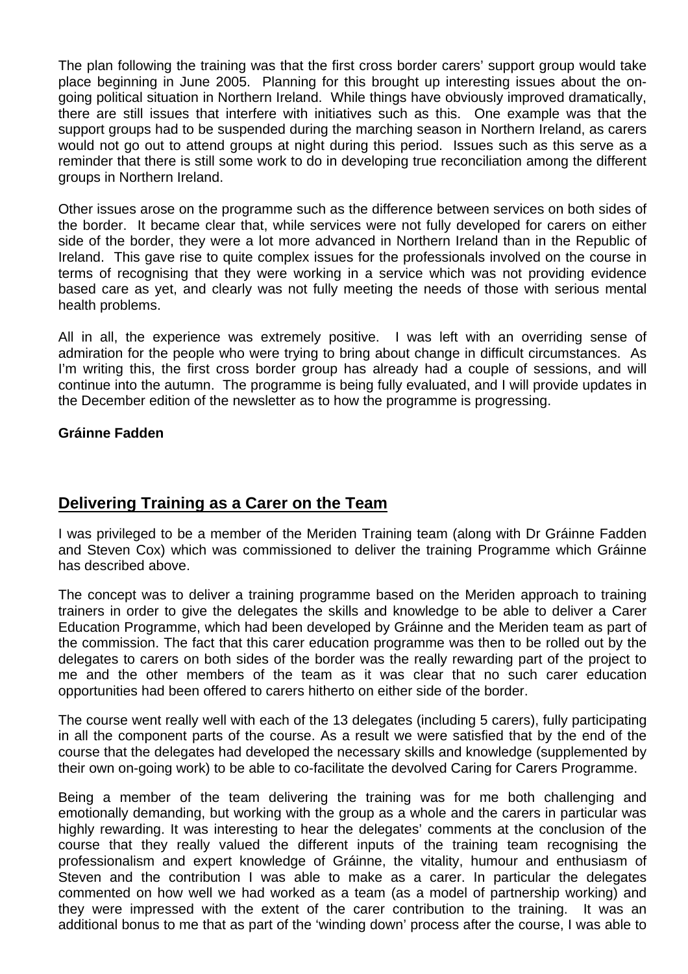The plan following the training was that the first cross border carers' support group would take place beginning in June 2005. Planning for this brought up interesting issues about the ongoing political situation in Northern Ireland. While things have obviously improved dramatically, there are still issues that interfere with initiatives such as this. One example was that the support groups had to be suspended during the marching season in Northern Ireland, as carers would not go out to attend groups at night during this period. Issues such as this serve as a reminder that there is still some work to do in developing true reconciliation among the different groups in Northern Ireland.

Other issues arose on the programme such as the difference between services on both sides of the border. It became clear that, while services were not fully developed for carers on either side of the border, they were a lot more advanced in Northern Ireland than in the Republic of Ireland. This gave rise to quite complex issues for the professionals involved on the course in terms of recognising that they were working in a service which was not providing evidence based care as yet, and clearly was not fully meeting the needs of those with serious mental health problems.

All in all, the experience was extremely positive. I was left with an overriding sense of admiration for the people who were trying to bring about change in difficult circumstances. As I'm writing this, the first cross border group has already had a couple of sessions, and will continue into the autumn. The programme is being fully evaluated, and I will provide updates in the December edition of the newsletter as to how the programme is progressing.

## **Gráinne Fadden**

## **Delivering Training as a Carer on the Team**

I was privileged to be a member of the Meriden Training team (along with Dr Gráinne Fadden and Steven Cox) which was commissioned to deliver the training Programme which Gráinne has described above.

The concept was to deliver a training programme based on the Meriden approach to training trainers in order to give the delegates the skills and knowledge to be able to deliver a Carer Education Programme, which had been developed by Gráinne and the Meriden team as part of the commission. The fact that this carer education programme was then to be rolled out by the delegates to carers on both sides of the border was the really rewarding part of the project to me and the other members of the team as it was clear that no such carer education opportunities had been offered to carers hitherto on either side of the border.

The course went really well with each of the 13 delegates (including 5 carers), fully participating in all the component parts of the course. As a result we were satisfied that by the end of the course that the delegates had developed the necessary skills and knowledge (supplemented by their own on-going work) to be able to co-facilitate the devolved Caring for Carers Programme.

Being a member of the team delivering the training was for me both challenging and emotionally demanding, but working with the group as a whole and the carers in particular was highly rewarding. It was interesting to hear the delegates' comments at the conclusion of the course that they really valued the different inputs of the training team recognising the professionalism and expert knowledge of Gráinne, the vitality, humour and enthusiasm of Steven and the contribution I was able to make as a carer. In particular the delegates commented on how well we had worked as a team (as a model of partnership working) and they were impressed with the extent of the carer contribution to the training. It was an additional bonus to me that as part of the 'winding down' process after the course, I was able to